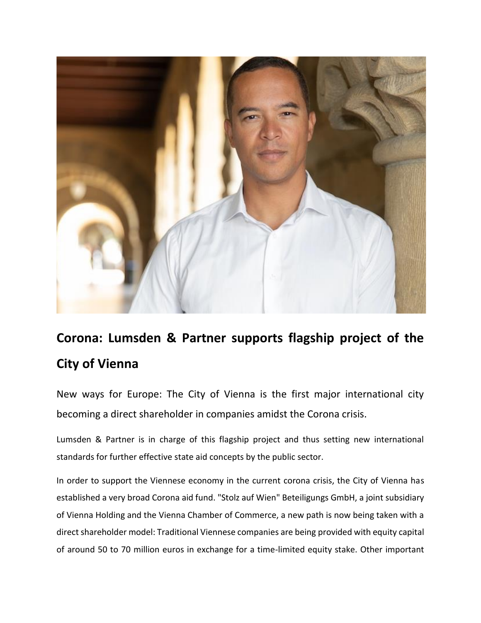

## **Corona: Lumsden & Partner supports flagship project of the City of Vienna**

New ways for Europe: The City of Vienna is the first major international city becoming a direct shareholder in companies amidst the Corona crisis.

Lumsden & Partner is in charge of this flagship project and thus setting new international standards for further effective state aid concepts by the public sector.

In order to support the Viennese economy in the current corona crisis, the City of Vienna has established a very broad Corona aid fund. "Stolz auf Wien" Beteiligungs GmbH, a joint subsidiary of Vienna Holding and the Vienna Chamber of Commerce, a new path is now being taken with a direct shareholder model: Traditional Viennese companies are being provided with equity capital of around 50 to 70 million euros in exchange for a time-limited equity stake. Other important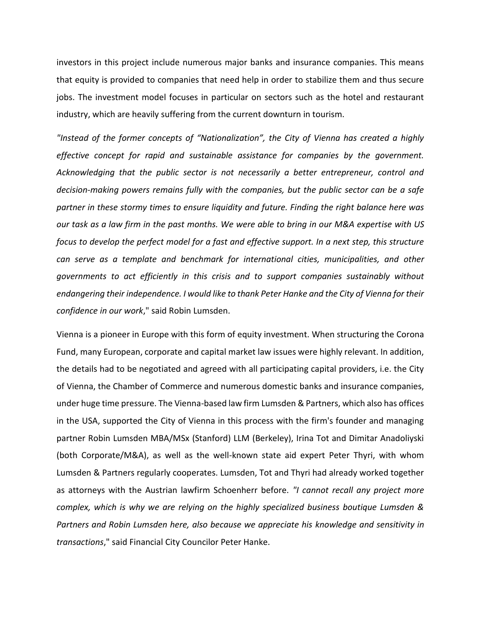investors in this project include numerous major banks and insurance companies. This means that equity is provided to companies that need help in order to stabilize them and thus secure jobs. The investment model focuses in particular on sectors such as the hotel and restaurant industry, which are heavily suffering from the current downturn in tourism.

*"Instead of the former concepts of "Nationalization", the City of Vienna has created a highly effective concept for rapid and sustainable assistance for companies by the government. Acknowledging that the public sector is not necessarily a better entrepreneur, control and decision-making powers remains fully with the companies, but the public sector can be a safe partner in these stormy times to ensure liquidity and future. Finding the right balance here was our task as a law firm in the past months. We were able to bring in our M&A expertise with US focus to develop the perfect model for a fast and effective support. In a next step, this structure can serve as a template and benchmark for international cities, municipalities, and other governments to act efficiently in this crisis and to support companies sustainably without endangering their independence. I would like to thank Peter Hanke and the City of Vienna for their confidence in our work*," said Robin Lumsden.

Vienna is a pioneer in Europe with this form of equity investment. When structuring the Corona Fund, many European, corporate and capital market law issues were highly relevant. In addition, the details had to be negotiated and agreed with all participating capital providers, i.e. the City of Vienna, the Chamber of Commerce and numerous domestic banks and insurance companies, under huge time pressure. The Vienna-based law firm Lumsden & Partners, which also has offices in the USA, supported the City of Vienna in this process with the firm's founder and managing partner Robin Lumsden MBA/MSx (Stanford) LLM (Berkeley), Irina Tot and Dimitar Anadoliyski (both Corporate/M&A), as well as the well-known state aid expert Peter Thyri, with whom Lumsden & Partners regularly cooperates. Lumsden, Tot and Thyri had already worked together as attorneys with the Austrian lawfirm Schoenherr before. *"I cannot recall any project more complex, which is why we are relying on the highly specialized business boutique Lumsden & Partners and Robin Lumsden here, also because we appreciate his knowledge and sensitivity in transactions*," said Financial City Councilor Peter Hanke.